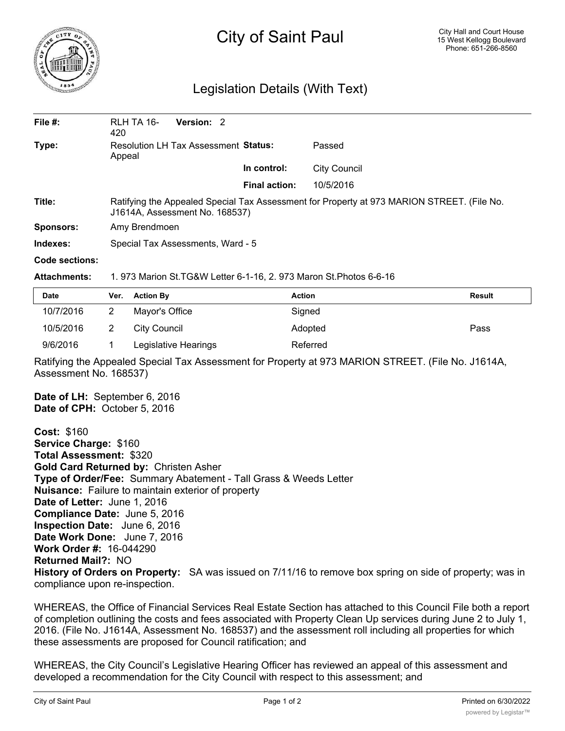

## City of Saint Paul

## Legislation Details (With Text)

| File $#$ :       | RLH TA 16-<br>420                                                                                                            | Version: 2 |                      |                     |  |  |
|------------------|------------------------------------------------------------------------------------------------------------------------------|------------|----------------------|---------------------|--|--|
| Type:            | Resolution LH Tax Assessment Status:<br>Appeal                                                                               |            |                      | Passed              |  |  |
|                  |                                                                                                                              |            | In control:          | <b>City Council</b> |  |  |
|                  |                                                                                                                              |            | <b>Final action:</b> | 10/5/2016           |  |  |
| Title:           | Ratifying the Appealed Special Tax Assessment for Property at 973 MARION STREET. (File No.<br>J1614A, Assessment No. 168537) |            |                      |                     |  |  |
| <b>Sponsors:</b> | Amy Brendmoen                                                                                                                |            |                      |                     |  |  |
| Indexes:         | Special Tax Assessments, Ward - 5                                                                                            |            |                      |                     |  |  |
| Code sections:   |                                                                                                                              |            |                      |                     |  |  |

## **Attachments:** 1. 973 Marion St.TG&W Letter 6-1-16, 2. 973 Maron St.Photos 6-6-16

| Date      | Ver. Action By       | <b>Action</b> | <b>Result</b> |
|-----------|----------------------|---------------|---------------|
| 10/7/2016 | Mayor's Office       | Signed        |               |
| 10/5/2016 | City Council         | Adopted       | Pass          |
| 9/6/2016  | Legislative Hearings | Referred      |               |

Ratifying the Appealed Special Tax Assessment for Property at 973 MARION STREET. (File No. J1614A, Assessment No. 168537)

**Date of LH:** September 6, 2016 **Date of CPH:** October 5, 2016

**Cost:** \$160 **Service Charge:** \$160 **Total Assessment:** \$320 **Gold Card Returned by:** Christen Asher **Type of Order/Fee:** Summary Abatement - Tall Grass & Weeds Letter **Nuisance:** Failure to maintain exterior of property **Date of Letter:** June 1, 2016 **Compliance Date:** June 5, 2016 **Inspection Date:** June 6, 2016 **Date Work Done:** June 7, 2016 **Work Order #:** 16-044290 **Returned Mail?:** NO **History of Orders on Property:** SA was issued on 7/11/16 to remove box spring on side of property; was in compliance upon re-inspection.

WHEREAS, the Office of Financial Services Real Estate Section has attached to this Council File both a report of completion outlining the costs and fees associated with Property Clean Up services during June 2 to July 1, 2016. (File No. J1614A, Assessment No. 168537) and the assessment roll including all properties for which these assessments are proposed for Council ratification; and

WHEREAS, the City Council's Legislative Hearing Officer has reviewed an appeal of this assessment and developed a recommendation for the City Council with respect to this assessment; and